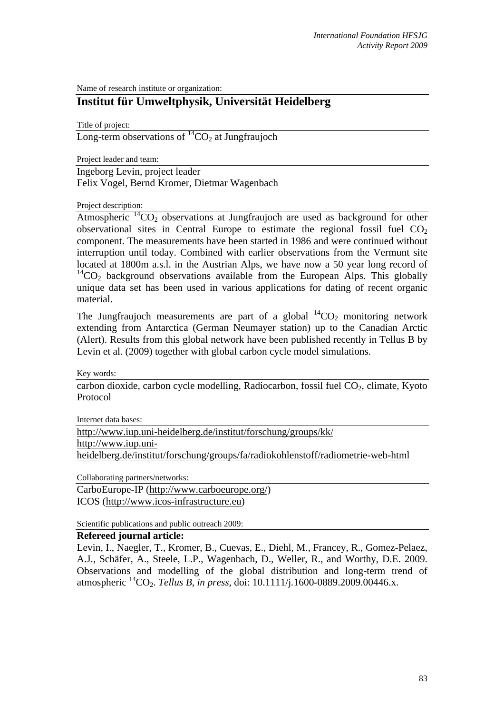Name of research institute or organization:

## **Institut für Umweltphysik, Universität Heidelberg**

Title of project:

Long-term observations of  ${}^{14}CO_2$  at Jungfraujoch

Project leader and team:

Ingeborg Levin, project leader Felix Vogel, Bernd Kromer, Dietmar Wagenbach

Project description:

Atmospheric  ${}^{14}CO_2$  observations at Jungfraujoch are used as background for other observational sites in Central Europe to estimate the regional fossil fuel  $CO<sub>2</sub>$ component. The measurements have been started in 1986 and were continued without interruption until today. Combined with earlier observations from the Vermunt site located at 1800m a.s.l. in the Austrian Alps, we have now a 50 year long record of  $14^1$ CO<sub>2</sub> background observations available from the European Alps. This globally unique data set has been used in various applications for dating of recent organic material.

The Jungfraujoch measurements are part of a global  ${}^{14}CO_2$  monitoring network extending from Antarctica (German Neumayer station) up to the Canadian Arctic (Alert). Results from this global network have been published recently in Tellus B by Levin et al. (2009) together with global carbon cycle model simulations.

Key words:

 $\overline{\text{carbon dioxide, carbon cycle modelling}}$ , Radiocarbon, fossil fuel  $\text{CO}_2$ , climate, Kyoto Protocol

Internet data bases:

http://www.iup.uni-heidelberg.de/institut/forschung/groups/kk/ http://www.iup.uniheidelberg.de/institut/forschung/groups/fa/radiokohlenstoff/radiometrie-web-html

Collaborating partners/networks:

CarboEurope-IP (http://www.carboeurope.org/) ICOS (http://www.icos-infrastructure.eu)

Scientific publications and public outreach 2009:

## **Refereed journal article:**

Levin, I., Naegler, T., Kromer, B., Cuevas, E., Diehl, M., Francey, R., Gomez-Pelaez, A.J., Schäfer, A., Steele, L.P., Wagenbach, D., Weller, R., and Worthy, D.E. 2009. Observations and modelling of the global distribution and long-term trend of atmospheric 14CO2. *Tellus B, in press,* doi: 10.1111/j*.*1600-0889.2009.00446.x.